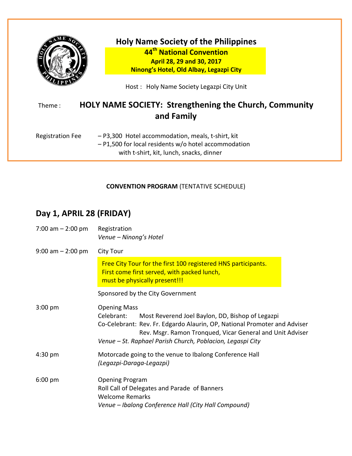

### **Holy Name Society of the Philippines 44th National Convention April 28, 29 and 30, 2017 Ninong's Hotel, Old Albay, Legazpi City**

Host : Holy Name Society Legazpi City Unit

# Theme : **HOLY NAME SOCIETY: Strengthening the Church, Community and Family**

| <b>Registration Fee</b> | - P3,300 Hotel accommodation, meals, t-shirt, kit      |  |  |
|-------------------------|--------------------------------------------------------|--|--|
|                         | $-$ P1,500 for local residents w/o hotel accommodation |  |  |
|                         | with t-shirt, kit, lunch, snacks, dinner               |  |  |

#### **CONVENTION PROGRAM** (TENTATIVE SCHEDULE)

## **Day 1, APRIL 28 (FRIDAY)**

| 7:00 am $-$ 2:00 pm   | Registration<br>Venue - Ninong's Hotel                                                                                                                                                                                                                                                        |  |  |
|-----------------------|-----------------------------------------------------------------------------------------------------------------------------------------------------------------------------------------------------------------------------------------------------------------------------------------------|--|--|
| $9:00$ am $- 2:00$ pm | City Tour                                                                                                                                                                                                                                                                                     |  |  |
|                       | Free City Tour for the first 100 registered HNS participants.<br>First come first served, with packed lunch,<br>must be physically present!!!                                                                                                                                                 |  |  |
|                       | Sponsored by the City Government                                                                                                                                                                                                                                                              |  |  |
| $3:00$ pm             | <b>Opening Mass</b><br>Celebrant:<br>Most Reverend Joel Baylon, DD, Bishop of Legazpi<br>Co-Celebrant: Rev. Fr. Edgardo Alaurin, OP, National Promoter and Adviser<br>Rev. Msgr. Ramon Tronqued, Vicar General and Unit Adviser<br>Venue - St. Raphael Parish Church, Poblacion, Legaspi City |  |  |
| 4:30 pm               | Motorcade going to the venue to Ibalong Conference Hall<br>(Legazpi-Daraga-Legazpi)                                                                                                                                                                                                           |  |  |
| $6:00$ pm             | <b>Opening Program</b><br>Roll Call of Delegates and Parade of Banners<br><b>Welcome Remarks</b><br>Venue - Ibalong Conference Hall (City Hall Compound)                                                                                                                                      |  |  |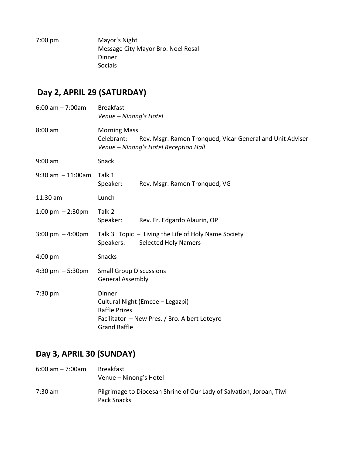| $7:00 \text{ pm}$ | Mayor's Night                      |
|-------------------|------------------------------------|
|                   | Message City Mayor Bro. Noel Rosal |
|                   | Dinner                             |
|                   | Socials                            |
|                   |                                    |

## **Day 2, APRIL 29 (SATURDAY)**

| $6:00$ am $-7:00$ am                 | <b>Breakfast</b><br>Venue - Ninong's Hotel                                                                                                 |                                                                                    |  |
|--------------------------------------|--------------------------------------------------------------------------------------------------------------------------------------------|------------------------------------------------------------------------------------|--|
| $8:00$ am                            | <b>Morning Mass</b><br>Celebrant:<br>Rev. Msgr. Ramon Tronqued, Vicar General and Unit Adviser<br>Venue - Ninong's Hotel Reception Hall    |                                                                                    |  |
| $9:00$ am                            | Snack                                                                                                                                      |                                                                                    |  |
| $9:30$ am $-11:00$ am                | Talk 1<br>Speaker:                                                                                                                         | Rev. Msgr. Ramon Tronqued, VG                                                      |  |
| 11:30 am                             | Lunch                                                                                                                                      |                                                                                    |  |
| 1:00 pm $-2:30$ pm                   | Talk 2<br>Speaker:                                                                                                                         | Rev. Fr. Edgardo Alaurin, OP                                                       |  |
| $3:00 \text{ pm } -4:00 \text{ pm }$ | Speakers:                                                                                                                                  | Talk 3 Topic - Living the Life of Holy Name Society<br><b>Selected Holy Namers</b> |  |
| $4:00$ pm                            | Snacks                                                                                                                                     |                                                                                    |  |
| 4:30 pm $-5:30$ pm                   | <b>Small Group Discussions</b><br><b>General Assembly</b>                                                                                  |                                                                                    |  |
| 7:30 pm                              | Dinner<br>Cultural Night (Emcee - Legazpi)<br><b>Raffle Prizes</b><br>Facilitator - New Pres. / Bro. Albert Loteyro<br><b>Grand Raffle</b> |                                                                                    |  |

## **Day 3, APRIL 30 (SUNDAY)**

- 6:00 am 7:00am Breakfast Venue – Ninong's Hotel
- 7:30 am Pilgrimage to Diocesan Shrine of Our Lady of Salvation, Joroan, Tiwi Pack Snacks